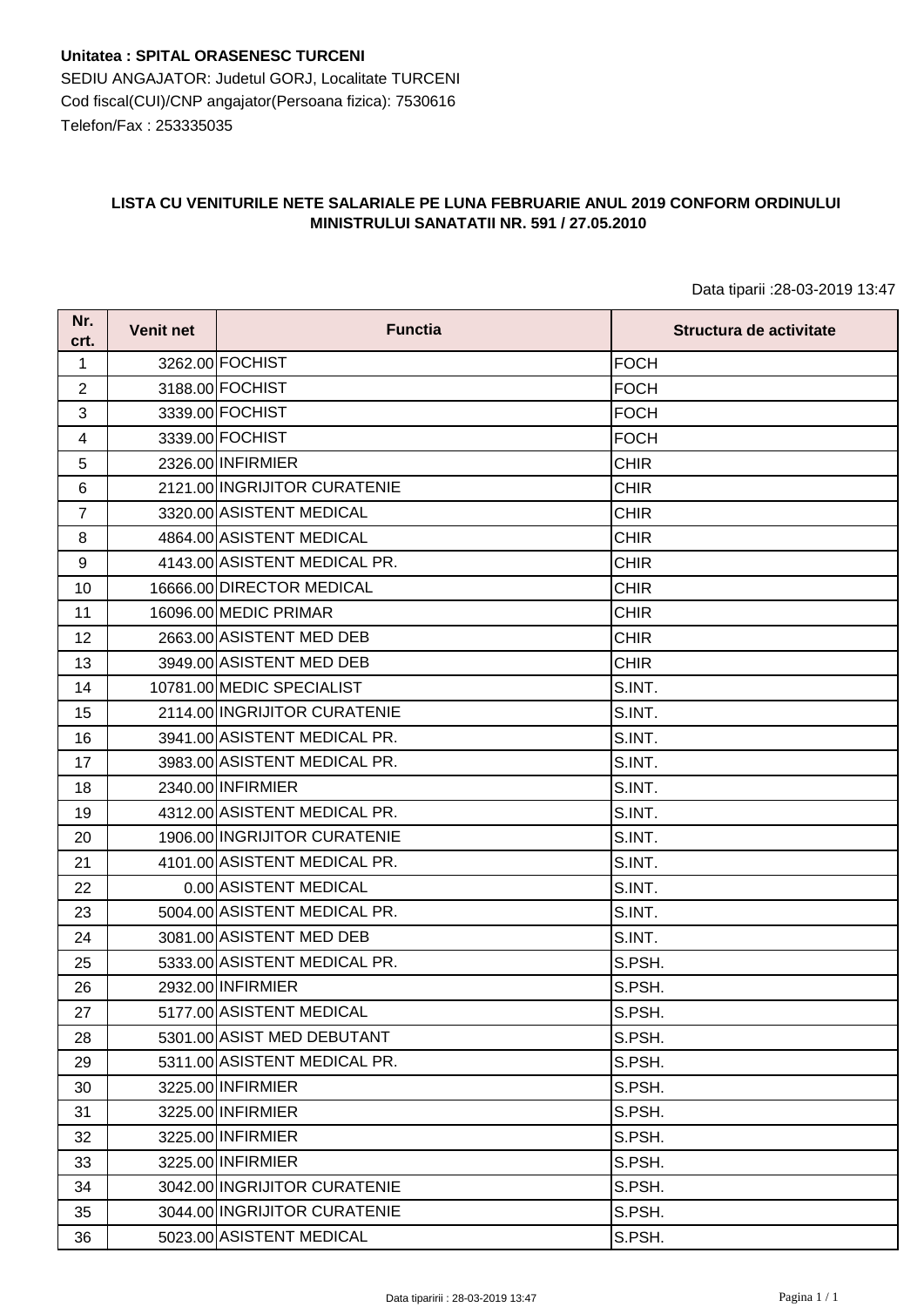**Unitatea : SPITAL ORASENESC TURCENI** SEDIU ANGAJATOR: Judetul GORJ, Localitate TURCENI Cod fiscal(CUI)/CNP angajator(Persoana fizica): 7530616 Telefon/Fax : 253335035

## **LISTA CU VENITURILE NETE SALARIALE PE LUNA FEBRUARIE ANUL 2019 CONFORM ORDINULUI MINISTRULUI SANATATII NR. 591 / 27.05.2010**

Data tiparii :28-03-2019 13:47

| Nr.<br>crt.     | <b>Venit net</b> | <b>Functia</b>               | Structura de activitate |
|-----------------|------------------|------------------------------|-------------------------|
| 1               |                  | 3262.00 FOCHIST              | <b>FOCH</b>             |
| $\overline{2}$  |                  | 3188.00 FOCHIST              | <b>FOCH</b>             |
| 3               |                  | 3339.00 FOCHIST              | <b>FOCH</b>             |
| $\overline{4}$  |                  | 3339.00 FOCHIST              | <b>FOCH</b>             |
| 5               |                  | 2326.00 INFIRMIER            | <b>CHIR</b>             |
| 6               |                  | 2121.00 INGRIJITOR CURATENIE | CHIR                    |
| $\overline{7}$  |                  | 3320.00 ASISTENT MEDICAL     | <b>CHIR</b>             |
| 8               |                  | 4864.00 ASISTENT MEDICAL     | <b>CHIR</b>             |
| 9               |                  | 4143.00 ASISTENT MEDICAL PR. | <b>CHIR</b>             |
| 10              |                  | 16666.00 DIRECTOR MEDICAL    | <b>CHIR</b>             |
| 11              |                  | 16096.00 MEDIC PRIMAR        | <b>CHIR</b>             |
| 12 <sub>2</sub> |                  | 2663.00 ASISTENT MED DEB     | <b>CHIR</b>             |
| 13              |                  | 3949.00 ASISTENT MED DEB     | <b>CHIR</b>             |
| 14              |                  | 10781.00 MEDIC SPECIALIST    | S.INT.                  |
| 15              |                  | 2114.00 INGRIJITOR CURATENIE | S.INT.                  |
| 16              |                  | 3941.00 ASISTENT MEDICAL PR. | S.INT.                  |
| 17              |                  | 3983.00 ASISTENT MEDICAL PR. | S.INT.                  |
| 18              |                  | 2340.00 INFIRMIER            | S.INT.                  |
| 19              |                  | 4312.00 ASISTENT MEDICAL PR. | S.INT.                  |
| 20              |                  | 1906.00 INGRIJITOR CURATENIE | S.INT.                  |
| 21              |                  | 4101.00 ASISTENT MEDICAL PR. | S.INT.                  |
| 22              |                  | 0.00 ASISTENT MEDICAL        | S.INT.                  |
| 23              |                  | 5004.00 ASISTENT MEDICAL PR. | S.INT.                  |
| 24              |                  | 3081.00 ASISTENT MED DEB     | S.INT.                  |
| 25              |                  | 5333.00 ASISTENT MEDICAL PR. | S.PSH.                  |
| 26              |                  | 2932.00 INFIRMIER            | S.PSH.                  |
| 27              |                  | 5177.00 ASISTENT MEDICAL     | S.PSH.                  |
| 28              |                  | 5301.00 ASIST MED DEBUTANT   | S.PSH.                  |
| 29              |                  | 5311.00 ASISTENT MEDICAL PR. | S.PSH.                  |
| 30              |                  | 3225.00 INFIRMIER            | S.PSH.                  |
| 31              |                  | 3225.00 INFIRMIER            | S.PSH.                  |
| 32              |                  | 3225.00 INFIRMIER            | S.PSH.                  |
| 33              |                  | 3225.00 INFIRMIER            | S.PSH.                  |
| 34              |                  | 3042.00 INGRIJITOR CURATENIE | S.PSH.                  |
| 35              |                  | 3044.00 INGRIJITOR CURATENIE | S.PSH.                  |
| 36              |                  | 5023.00 ASISTENT MEDICAL     | S.PSH.                  |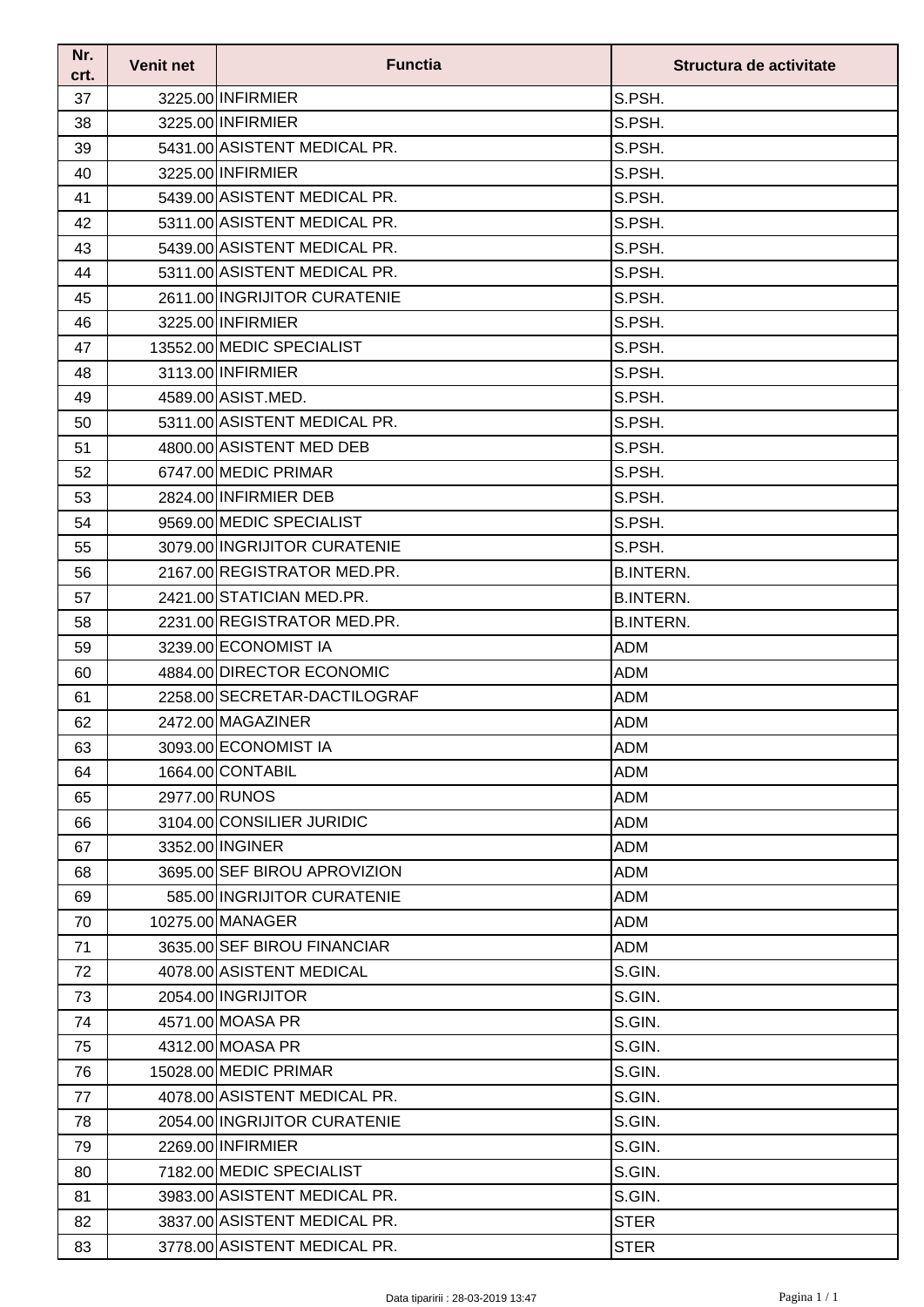| Nr.<br>crt. | <b>Venit net</b> | <b>Functia</b>               | Structura de activitate |
|-------------|------------------|------------------------------|-------------------------|
| 37          |                  | 3225.00 INFIRMIER            | S.PSH.                  |
| 38          |                  | 3225.00 INFIRMIER            | S.PSH.                  |
| 39          |                  | 5431.00 ASISTENT MEDICAL PR. | S.PSH.                  |
| 40          |                  | 3225.00 INFIRMIER            | S.PSH.                  |
| 41          |                  | 5439.00 ASISTENT MEDICAL PR. | S.PSH.                  |
| 42          |                  | 5311.00 ASISTENT MEDICAL PR. | S.PSH.                  |
| 43          |                  | 5439.00 ASISTENT MEDICAL PR. | S.PSH.                  |
| 44          |                  | 5311.00 ASISTENT MEDICAL PR. | S.PSH.                  |
| 45          |                  | 2611.00 INGRIJITOR CURATENIE | S.PSH.                  |
| 46          |                  | 3225.00 INFIRMIER            | S.PSH.                  |
| 47          |                  | 13552.00 MEDIC SPECIALIST    | S.PSH.                  |
| 48          |                  | 3113.00 INFIRMIER            | S.PSH.                  |
| 49          |                  | 4589.00 ASIST.MED.           | S.PSH.                  |
| 50          |                  | 5311.00 ASISTENT MEDICAL PR. | S.PSH.                  |
| 51          |                  | 4800.00 ASISTENT MED DEB     | S.PSH.                  |
| 52          |                  | 6747.00 MEDIC PRIMAR         | S.PSH.                  |
| 53          |                  | 2824.00 INFIRMIER DEB        | S.PSH.                  |
| 54          |                  | 9569.00 MEDIC SPECIALIST     | S.PSH.                  |
| 55          |                  | 3079.00 INGRIJITOR CURATENIE | S.PSH.                  |
| 56          |                  | 2167.00 REGISTRATOR MED.PR.  | <b>B.INTERN.</b>        |
| 57          |                  | 2421.00 STATICIAN MED.PR.    | <b>B.INTERN.</b>        |
| 58          |                  | 2231.00 REGISTRATOR MED.PR.  | <b>B.INTERN.</b>        |
| 59          |                  | 3239.00 ECONOMIST IA         | <b>ADM</b>              |
| 60          |                  | 4884.00 DIRECTOR ECONOMIC    | <b>ADM</b>              |
| 61          |                  | 2258.00 SECRETAR-DACTILOGRAF | <b>ADM</b>              |
| 62          |                  | 2472.00 MAGAZINER            | <b>ADM</b>              |
| 63          |                  | 3093.00 ECONOMIST IA         | <b>ADM</b>              |
| 64          |                  | 1664.00 CONTABIL             | <b>ADM</b>              |
| 65          |                  | 2977.00 RUNOS                | <b>ADM</b>              |
| 66          |                  | 3104.00 CONSILIER JURIDIC    | <b>ADM</b>              |
| 67          |                  | 3352.00 INGINER              | <b>ADM</b>              |
| 68          |                  | 3695.00 SEF BIROU APROVIZION | <b>ADM</b>              |
| 69          |                  | 585.00 INGRIJITOR CURATENIE  | <b>ADM</b>              |
| 70          |                  | 10275.00 MANAGER             | <b>ADM</b>              |
| 71          |                  | 3635.00 SEF BIROU FINANCIAR  | ADM                     |
| 72          |                  | 4078.00 ASISTENT MEDICAL     | S.GIN.                  |
| 73          |                  | 2054.00 INGRIJITOR           | S.GIN.                  |
| 74          |                  | 4571.00 MOASA PR             | S.GIN.                  |
| 75          |                  | 4312.00 MOASA PR             | S.GIN.                  |
| 76          |                  | 15028.00 MEDIC PRIMAR        | S.GIN.                  |
| 77          |                  | 4078.00 ASISTENT MEDICAL PR. | S.GIN.                  |
| 78          |                  | 2054.00 INGRIJITOR CURATENIE | S.GIN.                  |
| 79          |                  | 2269.00 INFIRMIER            | S.GIN.                  |
| 80          |                  | 7182.00 MEDIC SPECIALIST     | S.GIN.                  |
| 81          |                  | 3983.00 ASISTENT MEDICAL PR. | S.GIN.                  |
| 82          |                  | 3837.00 ASISTENT MEDICAL PR. | <b>STER</b>             |
| 83          |                  | 3778.00 ASISTENT MEDICAL PR. | <b>STER</b>             |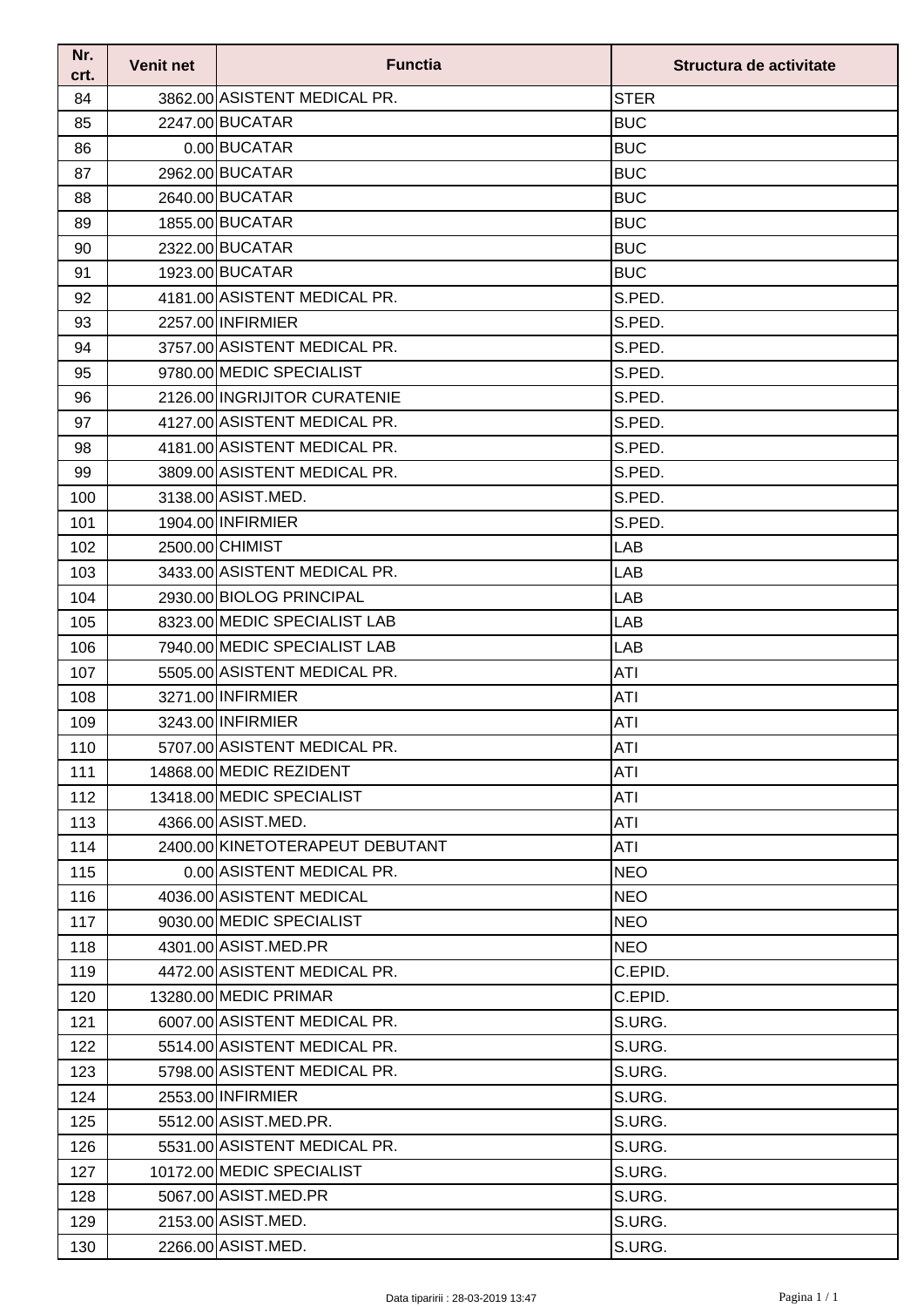| Nr.<br>crt. | <b>Venit net</b> | <b>Functia</b>                  | Structura de activitate |
|-------------|------------------|---------------------------------|-------------------------|
| 84          |                  | 3862.00 ASISTENT MEDICAL PR.    | <b>STER</b>             |
| 85          |                  | 2247.00 BUCATAR                 | <b>BUC</b>              |
| 86          |                  | 0.00 BUCATAR                    | <b>BUC</b>              |
| 87          |                  | 2962.00 BUCATAR                 | <b>BUC</b>              |
| 88          |                  | 2640.00 BUCATAR                 | <b>BUC</b>              |
| 89          |                  | 1855.00 BUCATAR                 | <b>BUC</b>              |
| 90          |                  | 2322.00 BUCATAR                 | <b>BUC</b>              |
| 91          |                  | 1923.00 BUCATAR                 | <b>BUC</b>              |
| 92          |                  | 4181.00 ASISTENT MEDICAL PR.    | S.PED.                  |
| 93          |                  | 2257.00 INFIRMIER               | S.PED.                  |
| 94          |                  | 3757.00 ASISTENT MEDICAL PR.    | S.PED.                  |
| 95          |                  | 9780.00 MEDIC SPECIALIST        | S.PED.                  |
| 96          |                  | 2126.00 INGRIJITOR CURATENIE    | S.PED.                  |
| 97          |                  | 4127.00 ASISTENT MEDICAL PR.    | S.PED.                  |
| 98          |                  | 4181.00 ASISTENT MEDICAL PR.    | S.PED.                  |
| 99          |                  | 3809.00 ASISTENT MEDICAL PR.    | S.PED.                  |
| 100         |                  | 3138.00 ASIST.MED.              | S.PED.                  |
| 101         |                  | 1904.00 INFIRMIER               | S.PED.                  |
| 102         |                  | 2500.00 CHIMIST                 | LAB                     |
| 103         |                  | 3433.00 ASISTENT MEDICAL PR.    | LAB                     |
| 104         |                  | 2930.00 BIOLOG PRINCIPAL        | LAB                     |
| 105         |                  | 8323.00 MEDIC SPECIALIST LAB    | LAB                     |
| 106         |                  | 7940.00 MEDIC SPECIALIST LAB    | LAB                     |
| 107         |                  | 5505.00 ASISTENT MEDICAL PR.    | <b>ATI</b>              |
| 108         |                  | 3271.00 INFIRMIER               | <b>ATI</b>              |
| 109         |                  | 3243.00 INFIRMIER               | ATI                     |
| 110         |                  | 5707.00 ASISTENT MEDICAL PR.    | ATI                     |
| 111         |                  | 14868.00 MEDIC REZIDENT         | ATI                     |
| 112         |                  | 13418.00 MEDIC SPECIALIST       | ATI                     |
| 113         |                  | 4366.00 ASIST.MED.              | ATI                     |
| 114         |                  | 2400.00 KINETOTERAPEUT DEBUTANT | ATI                     |
| 115         |                  | 0.00 ASISTENT MEDICAL PR.       | <b>NEO</b>              |
| 116         |                  | 4036.00 ASISTENT MEDICAL        | <b>NEO</b>              |
| 117         |                  | 9030.00 MEDIC SPECIALIST        | <b>NEO</b>              |
| 118         |                  | 4301.00 ASIST.MED.PR            | <b>NEO</b>              |
| 119         |                  | 4472.00 ASISTENT MEDICAL PR.    | C.EPID.                 |
| 120         |                  | 13280.00 MEDIC PRIMAR           | C.EPID.                 |
| 121         |                  | 6007.00 ASISTENT MEDICAL PR.    | S.URG.                  |
| 122         |                  | 5514.00 ASISTENT MEDICAL PR.    | S.URG.                  |
| 123         |                  | 5798.00 ASISTENT MEDICAL PR.    | S.URG.                  |
| 124         |                  | 2553.00 INFIRMIER               | S.URG.                  |
| 125         |                  | 5512.00 ASIST.MED.PR.           | S.URG.                  |
| 126         |                  | 5531.00 ASISTENT MEDICAL PR.    | S.URG.                  |
| 127         |                  | 10172.00 MEDIC SPECIALIST       | S.URG.                  |
| 128         |                  | 5067.00 ASIST.MED.PR            | S.URG.                  |
| 129         |                  | 2153.00 ASIST.MED.              | S.URG.                  |
| 130         |                  | 2266.00 ASIST.MED.              | S.URG.                  |